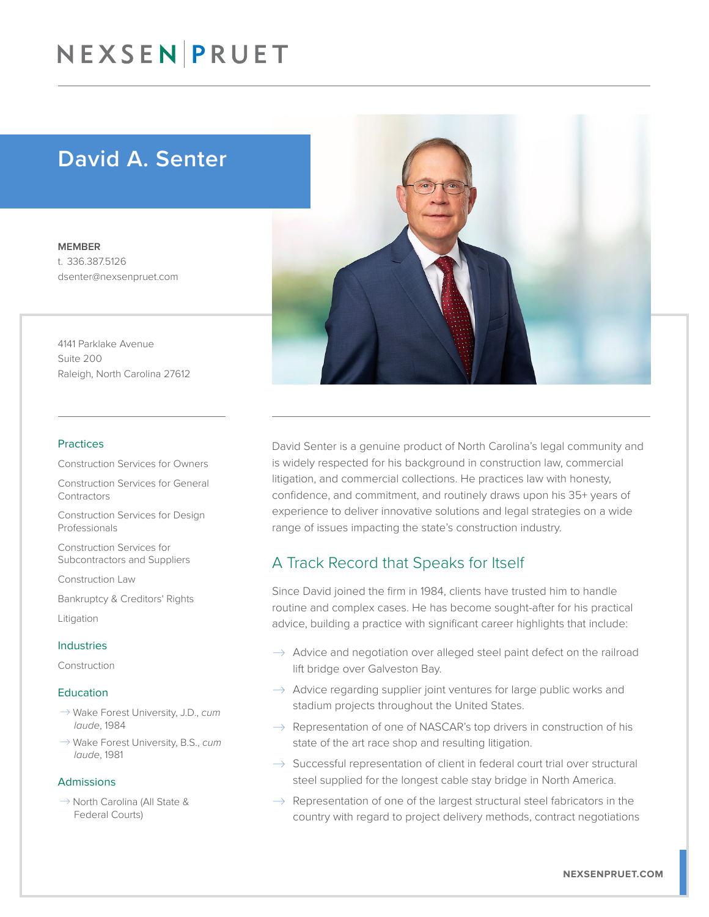## David A. Senter

MEMBER t. 336.387.5126 dsenter@nexsenpruet.com

4141 Parklake Avenue Suite 200 Raleigh, North Carolina 27612

#### Practices

Construction Services for Owners

Construction Services for General **Contractors** 

Construction Services for Design Professionals

Construction Services for Subcontractors and Suppliers

Construction Law

Bankruptcy & Creditors' Rights Litigation

#### Industries

Construction

#### Education

- � Wake Forest University, J.D., *cum laude*, 1984
- � Wake Forest University, B.S., *cum laude*, 1981

#### Admissions

 $\rightarrow$  North Carolina (All State & Federal Courts)

David Senter is a genuine product of North Carolina's legal community and is widely respected for his background in construction law, commercial litigation, and commercial collections. He practices law with honesty, confidence, and commitment, and routinely draws upon his 35+ years of experience to deliver innovative solutions and legal strategies on a wide range of issues impacting the state's construction industry.

### A Track Record that Speaks for Itself

Since David joined the firm in 1984, clients have trusted him to handle routine and complex cases. He has become sought-after for his practical advice, building a practice with significant career highlights that include:

- $\rightarrow$  Advice and negotiation over alleged steel paint defect on the railroad lift bridge over Galveston Bay.
- $\rightarrow$  Advice regarding supplier joint ventures for large public works and stadium projects throughout the United States.
- $\rightarrow$  Representation of one of NASCAR's top drivers in construction of his state of the art race shop and resulting litigation.
- $\rightarrow$  Successful representation of client in federal court trial over structural steel supplied for the longest cable stay bridge in North America.
- $\rightarrow$  Representation of one of the largest structural steel fabricators in the country with regard to project delivery methods, contract negotiations

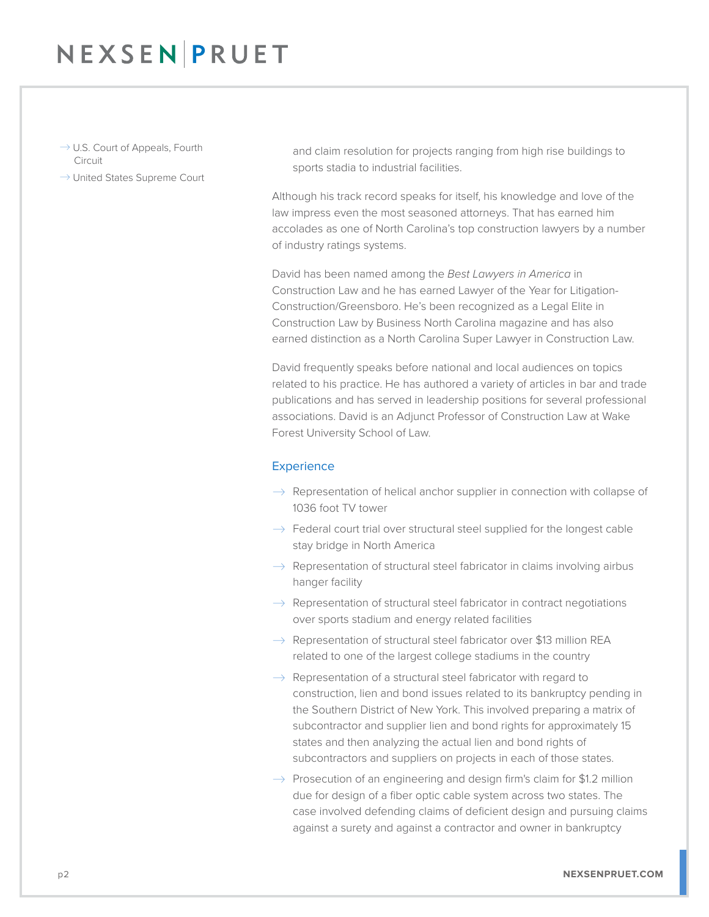- $\rightarrow$  U.S. Court of Appeals, Fourth Circuit
- $\rightarrow$  United States Supreme Court

and claim resolution for projects ranging from high rise buildings to sports stadia to industrial facilities.

Although his track record speaks for itself, his knowledge and love of the law impress even the most seasoned attorneys. That has earned him accolades as one of North Carolina's top construction lawyers by a number of industry ratings systems.

David has been named among the *Best Lawyers in America* in Construction Law and he has earned Lawyer of the Year for Litigation-Construction/Greensboro. He's been recognized as a Legal Elite in Construction Law by Business North Carolina magazine and has also earned distinction as a North Carolina Super Lawyer in Construction Law.

David frequently speaks before national and local audiences on topics related to his practice. He has authored a variety of articles in bar and trade publications and has served in leadership positions for several professional associations. David is an Adjunct Professor of Construction Law at Wake Forest University School of Law.

### **Experience**

- $\rightarrow$  Representation of helical anchor supplier in connection with collapse of 1036 foot TV tower
- $\rightarrow$  Federal court trial over structural steel supplied for the longest cable stay bridge in North America
- $\rightarrow$  Representation of structural steel fabricator in claims involving airbus hanger facility
- $\rightarrow$  Representation of structural steel fabricator in contract negotiations over sports stadium and energy related facilities
- $\rightarrow$  Representation of structural steel fabricator over \$13 million REA related to one of the largest college stadiums in the country
- $\rightarrow$  Representation of a structural steel fabricator with regard to construction, lien and bond issues related to its bankruptcy pending in the Southern District of New York. This involved preparing a matrix of subcontractor and supplier lien and bond rights for approximately 15 states and then analyzing the actual lien and bond rights of subcontractors and suppliers on projects in each of those states.
- $\rightarrow$  Prosecution of an engineering and design firm's claim for \$1.2 million due for design of a fiber optic cable system across two states. The case involved defending claims of deficient design and pursuing claims against a surety and against a contractor and owner in bankruptcy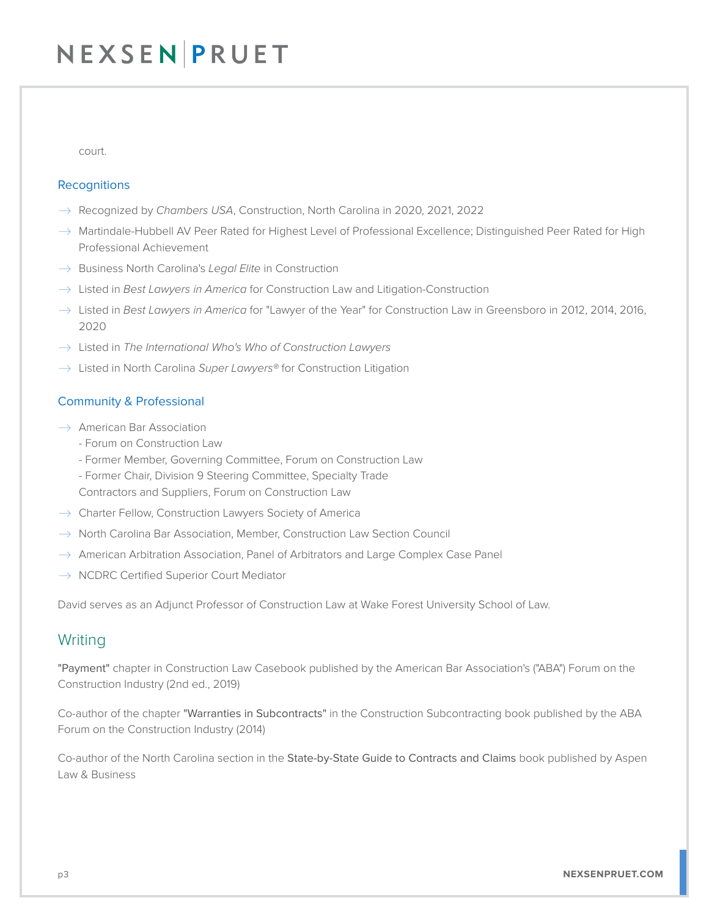court.

### **Recognitions**

- � Recognized by *Chambers USA*, Construction, North Carolina in 2020, 2021, 2022
- $\rightarrow$  Martindale-Hubbell AV Peer Rated for Highest Level of Professional Excellence; Distinguished Peer Rated for High Professional Achievement
- � Business North Carolina's *Legal Elite* in Construction
- $\rightarrow$  Listed in *Best Lawyers in America* for Construction Law and Litigation-Construction
- � Listed in *Best Lawyers in America* for "Lawyer of the Year" for Construction Law in Greensboro in 2012, 2014, 2016, 2020
- � Listed in *The International Who's Who of Construction Lawyers*
- � Listed in North Carolina *Super Lawyers®* for Construction Litigation

### Community & Professional

- $\rightarrow$  American Bar Association
	- Forum on Construction Law
	- Former Member, Governing Committee, Forum on Construction Law
	- Former Chair, Division 9 Steering Committee, Specialty Trade
	- Contractors and Suppliers, Forum on Construction Law
- $\rightarrow$  Charter Fellow, Construction Lawyers Society of America
- $\rightarrow$  North Carolina Bar Association, Member, Construction Law Section Council
- $\rightarrow$  American Arbitration Association, Panel of Arbitrators and Large Complex Case Panel
- $\rightarrow$  NCDRC Certified Superior Court Mediator

David serves as an Adjunct Professor of Construction Law at Wake Forest University School of Law.

### **Writing**

"Payment" chapter in Construction Law Casebook published by the American Bar Association's ("ABA") Forum on the Construction Industry (2nd ed., 2019)

Co-author of the chapter "Warranties in Subcontracts" in the Construction Subcontracting book published by the ABA Forum on the Construction Industry (2014)

Co-author of the North Carolina section in the State-by-State Guide to Contracts and Claims book published by Aspen Law & Business